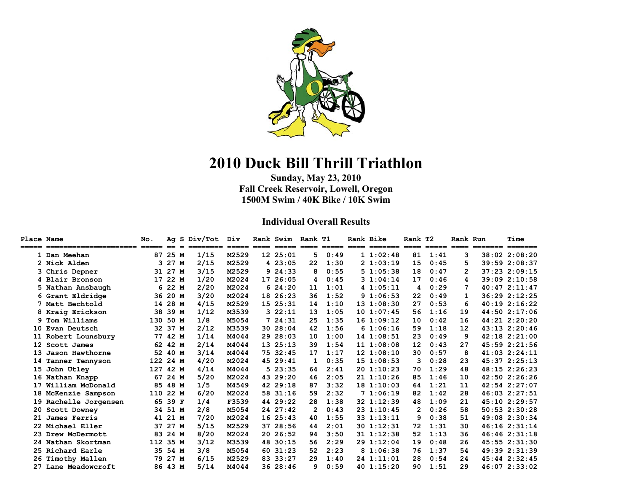

# **2010 Duck Bill Thrill Triathlon**

**Sunday, May 23, 2010 Fall Creek Reservoir, Lowell, Oregon 1500M Swim / 40K Bike / 10K Swim** 

#### **Individual Overall Results**

| <b>Place Name</b> | ===================== ==== == = | No.      |         | Ag S Div/Tot<br>======== | Div   |    | Rank Swim Rank T1 |    |      | Rank Bike |              | Rank T2 |      | Rank Run | $=$ $=$ $=$ $=$ $=$ $=$ | Time<br>$=$ $=$ $=$ $=$ $=$ $=$ |
|-------------------|---------------------------------|----------|---------|--------------------------|-------|----|-------------------|----|------|-----------|--------------|---------|------|----------|-------------------------|---------------------------------|
|                   | 1 Dan Meehan                    | 87       | 25 M    | 1/15                     | M2529 |    | 12 25:01          | 5. | 0:49 |           | 11:02:48     | 81      | 1:41 | 3        |                         | 38:02 2:08:20                   |
|                   | 2 Nick Alden                    | 3        | 27 M    | 2/15                     | M2529 |    | 423:05            | 22 | 1:30 |           | 21:03:19     | 15      | 0:45 | 5        |                         | 39:59 2:08:37                   |
|                   | 3 Chris Depner                  |          | 31 27 M | 3/15                     | M2529 | 9  | 24:33             | 8  | 0:55 |           | 51:05:38     | 18      | 0:47 | 2        |                         | 37:23 2:09:15                   |
|                   | 4 Blair Bronson                 | 17       | 22 M    | 1/20                     | M2024 | 17 | 26:05             | 4  | 0:45 |           | 31:04:14     | 17      | 0:46 | 4        |                         | 39:09 2:10:58                   |
|                   | 5 Nathan Ansbaugh               |          | 6 22 M  | 2/20                     | M2024 |    | 624:20            | 11 | 1:01 |           | 41:05:11     | 4       | 0:29 | 7        |                         | 40:472:11:47                    |
|                   | 6 Grant Eldridge                | 36       | 20 M    | 3/20                     | M2024 | 18 | 26:23             | 36 | 1:52 |           | 91:06:53     | 22      | 0:49 | 1        |                         | 36:29 2:12:25                   |
|                   | 7 Matt Bechtold                 |          | 14 28 M | 4/15                     | M2529 |    | 15 25:31          | 14 | 1:10 |           | 131:08:30    | 27      | 0:53 | 6        |                         | 40:192:16:22                    |
|                   | 8 Kraig Erickson                | 38       | 39 M    | 1/12                     | M3539 |    | 322:11            | 13 | 1:05 |           | 10 1:07:45   | 56      | 1:16 | 19       |                         | 44:50 2:17:06                   |
|                   | 9 Tom Williams                  | 130      | 50 M    | 1/8                      | M5054 |    | 724:31            | 25 | 1:35 |           | 161:09:12    | 10      | 0:42 | 16       |                         | 44:21 2:20:20                   |
|                   | 10 Evan Deutsch                 | 32       | 37 M    | 2/12                     | M3539 | 30 | 28:04             | 42 | 1:56 |           | 61:06:16     | 59      | 1:18 | 12       |                         | $43:13$ $2:20:46$               |
| 11                | Robert Lounsbury                | 77       | 42 M    | 1/14                     | M4044 | 29 | 28:03             | 10 | 1:00 |           | $14$ 1:08:51 | 23      | 0:49 | 9        |                         | $42:18$ $2:21:00$               |
|                   | 12 Scott James                  | 62       | 42 M    | 2/14                     | M4044 |    | 13 25:13          | 39 | 1:54 |           | 111:08:08    | 12      | 0:43 | 27       |                         | 45:59 2:21:56                   |
|                   | 13 Jason Hawthorne              | 52       | 40 M    | 3/14                     | M4044 | 75 | 32:45             | 17 | 1:17 |           | 121:08:10    | 30      | 0:57 | 8        |                         | $41:03$ $2:24:11$               |
|                   | 14 Tanner Tennyson              | 122 24 M |         | 4/20                     | M2024 |    | 45 29:41          | 1  | 0:35 |           | 151:08:53    | 3       | 0:28 | 23       |                         | 45:37 2:25:13                   |
|                   | 15 John Utley                   | 127      | 42 M    | 4/14                     | M4044 |    | 523:35            | 64 | 2:41 |           | 20 1:10:23   | 70      | 1:29 | 48       |                         | 48:15 2:26:23                   |
|                   | 16 Nathan Knapp                 | 67       | 24 M    | 5/20                     | M2024 |    | 43 29:20          | 46 | 2:05 |           | 21 1:10:26   | 85      | 1:46 | 10       |                         | 42:50 2:26:26                   |
|                   | 17 William McDonald             | 85       | 48 M    | 1/5                      | M4549 |    | 42 29:18          | 87 | 3:32 |           | 181:10:03    | 64      | 1:21 | 11       |                         | 42:54 2:27:07                   |
|                   | 18 McKenzie Sampson             | 110      | 22 M    | 6/20                     | M2024 |    | 58 31:16          | 59 | 2:32 |           | 71:06:19     | 82      | 1:42 | 28       |                         | $46:03$ $2:27:51$               |
|                   | 19 Rachelle Jorgensen           | 65       | 39 F    | 1/4                      | F3539 |    | 44 29:22          | 28 | 1:38 |           | 32 1:12:39   | 48      | 1:09 | 21       |                         | 45:10 2:29:57                   |
|                   | 20 Scott Downey                 | 34       | 51 M    | 2/8                      | M5054 |    | 24 27:42          | 2  | 0:43 |           | 23 1:10:45   | 2       | 0:26 | 58       |                         | 50:53 2:30:28                   |
| 21                | James Ferris                    | 41       | 21 M    | 7/20                     | M2024 |    | 1625:43           | 40 | 1:55 |           | 33 1:13:11   | 9       | 0:38 | 51       |                         | 49:08 2:30:34                   |
|                   | 22 Michael Eller                | 37       | 27 M    | 5/15                     | M2529 | 37 | 28:56             | 44 | 2:01 |           | 301:12:31    | 72      | 1:31 | 30       |                         | 46:162:31:14                    |
|                   | 23 Drew McDermott               | 83       | 24 M    | 8/20                     | M2024 |    | 20 26:52          | 94 | 3:50 |           | 31 1:12:38   | 52      | 1:13 | 36       |                         | 46:462:31:18                    |
|                   | 24 Nathan Skortman              | 112      | 35 M    | 3/12                     | M3539 | 48 | 30:15             | 56 | 2:29 |           | 29 1:12:04   | 19      | 0:48 | 26       |                         | $45:55$ $2:31:30$               |
|                   | 25 Richard Earle                | 35       | 54 M    | 3/8                      | M5054 | 60 | 31:23             | 52 | 2:23 |           | 81:06:38     | 76      | 1:37 | 54       |                         | 49:39 2:31:39                   |
|                   | 26 Timothy Mallen               | 79       | 27 M    | 6/15                     | M2529 | 83 | 33:27             | 29 | 1:40 |           | $24$ 1:11:01 | 28      | 0:54 | 24       |                         | $45:44$ $2:32:45$               |
|                   | 27 Lane Meadowcroft             |          | 86 43 M | 5/14                     | M4044 |    | 36 28:46          | 9  | 0:59 |           | 40 1:15:20   | 90      | 1:51 | 29       |                         | 46:07 2:33:02                   |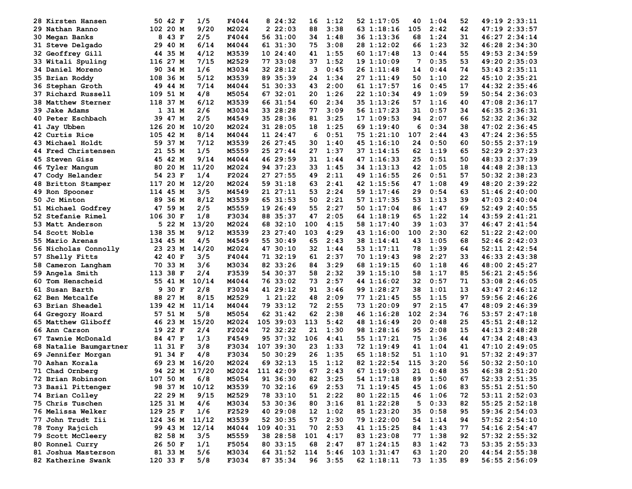| 28.<br>Kirsten Hansen     | 50 42 F     | 1/5   | F4044 | 24:32<br>8 | 16  | 1:12    | 52 1:17:05      | 40  | 1:04    | 52       | 49:19 2:33:11 |
|---------------------------|-------------|-------|-------|------------|-----|---------|-----------------|-----|---------|----------|---------------|
| 29 Nathan Ranno           | 102 20 M    | 9/20  | M2024 | 22:03      | 88  | 3:38    | 63 1:18:16      | 105 | 2:42    | 42       | 47:19 2:33:57 |
| 30 Megan Banks            | 8<br>43 F   | 2/5   | F4044 | 56 31:00   | 34  | 1:48    | 36 1:13:36      | 68  | 1:24    | 31       | 46:27 2:34:14 |
| 31 Steve Delgado          | 29<br>40 M  | 6/14  | M4044 | 61 31:30   | 75  | 3:08    | 28 1:12:02      | 66  | 1:23    | 32       | 46:28 2:34:30 |
| <b>32 Geoffrey Gill</b>   | 44 35 M     | 4/12  | M3539 | 10 24:40   | 41  | 1:55    | 60 1:17:48      | 13  | 0:44    | 55       | 49:53 2:34:59 |
| 33 Witali Spuling         | 116 27 M    | 7/15  | M2529 | 77 33:08   | 37  | 1:52    | 191:10:09       | 7   | 0:35    | 53       | 49:20 2:35:03 |
| 34 Daniel Moreno          | 90<br>34 M  | 1/6   | M3034 | 32 28:12   | 3   | 0:45    | 26 1:11:48      | 14  | 0:44    | 74       | 53:43 2:35:11 |
| 35 Brian Roddy            | 36 M<br>108 | 5/12  | M3539 | 89 35:39   | 24  | 1:34    | 27 1:11:49      | 50  | 1:10    | 22       | 45:10 2:35:21 |
| 36 Stephan Groth          | 49<br>44 M  | 7/14  | M4044 | 51 30:33   | 43  | 2:00    | 61 1:17:57      | 16  | 0:45    | 17       | 44:32 2:35:46 |
| 37 Richard Russell        | 109<br>51 M | 4/8   | M5054 | 67 32:01   | 20  | 1:26    | 22 1:10:34      | 49  | 1:09    | 59       | 50:54 2:36:03 |
| 38 Matthew Sterner        | 37 M<br>118 | 6/12  | M3539 | 66 31:54   | 60  | 2:34    | 35 1:13:26      | 57  | 1:16    | 40       | 47:08 2:36:17 |
| 39 Jake Adams             | 1 31 M      | 2/6   | M3034 | 33 28:28   | 77  | 3:09    | 56 1:17:23      | 31  | 0:57    | 34       | 46:35 2:36:31 |
| 40 Peter Eschbach         | 39 47 M     | 2/5   | M4549 | 35 28:36   | 81  | 3:25    | 171:09:53       | 94  | 2:07    | 66       | 52:32 2:36:32 |
| 41 Jay Ubben              | 126<br>20 M | 10/20 | M2024 | 31 28:05   | 18  | 1:25    | 69 1:19:40      | 6   | 0:34    | 38       | 47:02 2:36:45 |
| 42 Curtis Rice            | 105 42 M    | 8/14  | M4044 | 11 24:47   | 6   | 0:51    | 75 1:21:10      | 107 | 2:44    | 43       | 47:24 2:36:55 |
| 43 Michael Holdt          | 59 37 M     | 7/12  | M3539 | 26 27:45   | 30  | 1:40    | 45 1:16:10      | 24  | 0:50    | 60       | 50:55 2:37:19 |
| 44 Fred Christensen       | 21<br>55 M  | 1/5   | M5559 | 25 27:44   | 27  | 1:37    | 37 1:14:15      | 62  | 1:19    | 65       | 52:29 2:37:23 |
| <b>45 Steven Giss</b>     | 45 42 M     | 9/14  | M4044 | 46 29:59   | 31  | 1:44    | 47 1:16:33      | 25  | 0:51    | 50       | 48:33 2:37:39 |
| 46 Tyler Mangum           | 20 M<br>80  | 11/20 | M2024 | 94 37:23   | 33  | 1:45    | 34 1:13:13      | 42  | 1:05    | 18       | 44:48 2:38:13 |
| 47 Cody Helander          | 54 23 F     | 1/4   | F2024 | 27 27:55   | 49  | 2:11    | 49 1:16:55      | 26  | 0:51    | 57       | 50:32 2:38:23 |
| 48 Britton Stamper        | 117<br>20 M | 12/20 | M2024 | 59 31:18   | 63  | 2:41    | 42 1:15:56      | 47  | 1:08    | 49       | 48:20 2:39:22 |
| 49 Ron Spooner            | 114 45 M    | 3/5   | M4549 | 21 27:11   | 53  | 2:24    | 59 1:17:46      | 29  | 0:54    | 63       | 51:46 2:40:00 |
| 50.<br>Jc Minton          | 89<br>36 M  | 8/12  | M3539 | 65 31:53   | 50  | 2:21    | 57 1:17:35      | 53  | 1:13    | 39       | 47:03 2:40:04 |
| 51 Michael Godfrey        | 47<br>59 M  | 2/5   | M5559 | 19 26:49   | 55  | 2:27    | 50 1:17:04      | 86  | 1:47    | 69       | 52:49 2:40:55 |
| 52 Stefanie Rimel         | 106 30 F    | 1/8   | F3034 | 88 35:37   | 47  | 2:05    | 64 1:18:19      | 65  | 1:22    | 14       | 43:59 2:41:21 |
| 53 Matt Anderson          | 22 M<br>5.  | 13/20 | M2024 | 68 32:10   | 100 | 4:15    | 58 1:17:40      | 39  | 1:03    | 37       | 46:47 2:41:54 |
| 54 Scott Noble            | 138<br>35 M | 9/12  | M3539 | 23 27:40   | 103 | 4:29    | 43 1:16:00      | 100 | 2:30    | 62       | 51:22 2:42:00 |
| 55 Mario Arenas           | 134 45 M    | 4/5   | M4549 | 55 30:49   | 65  | 2:43    | 38 1:14:41      | 43  | 1:05    | 68       | 52:46 2:42:03 |
| 56 Nicholas Connolly      | 23 23 M     | 14/20 | M2024 | 47 30:10   | 32  | 1:44    | 53 1:17:11      | 78  | 1:39    | 64       | 52:11 2:42:54 |
| 57 Shelly Fitts           | 42 40 F     | 3/5   | F4044 | 71 32:19   | 61  | 2:37    | 70 1:19:43      | 98  | 2:27    | 33       | 46:33 2:43:38 |
| 58 Cameron Langham        | 33 M<br>70  | 3/6   | M3034 | 82 33:26   | 84  | 3:29    | 68 1:19:15      | 60  | 1:18    | 46       | 48:00 2:45:27 |
| 59 Angela Smith           | 113<br>38 F | 2/4   | F3539 | 54 30:37   | 58  | 2:32    | 39 1:15:10      | 58  | 1:17    | 85       | 56:21 2:45:56 |
| 60 Tom Henscheid          | 55<br>41 M  | 10/14 | M4044 | 76 33:02   | 73  | 2:57    | 44 1:16:02      | 32  | 0:57    | 71       | 53:08 2:46:05 |
| 61 Susan Barth            | 30 F<br>9   | 2/8   | F3034 | 41 29:12   | 91  | 3:46    | 99 1:28:27      | 38  | 1:01    | 13       | 43:47 2:46:12 |
| 62 Ben Metcalfe           | 27 M<br>88  | 8/15  | M2529 | 121:22     | 48  | 2:09    | 77 1:21:45      | 55  | 1:15    | 97       | 59:56 2:46:26 |
| 63 Brian Sheadel          | 42 M<br>139 | 11/14 | M4044 | 79 33:12   | 72  | 2:55    | 73 1:20:09      | 97  | 2:15    | 47       | 48:09 2:46:39 |
| 64 Gregory Hoard          | 57<br>51 M  | 5/8   | M5054 | 62 31:42   | 62  | 2:38    | 46 1:16:28      | 102 | 2:34    | 76       | 53:57 2:47:18 |
| 65 Matthew Gliboff        | 46 23 M     | 15/20 | M2024 | 105 39:03  | 113 | 5:42    | 48 1:16:49      | 20  | 0:48    | 25       | 45:51 2:48:12 |
| 66 Ann Carson             | 19 22 F     | 2/4   | F2024 | 72 32:22   | 21  | 1:30    | 98 1:28:16      | 95  | 2:08    | 15       | 44:13 2:48:28 |
| 67 Tawnie McDonald        | 84 47 F     | 1/3   | F4549 | 95 37:32   | 106 | 4:41    | 55 1:17:21      | 75  | 1:36    | 44       | 47:34 2:48:43 |
| 68<br>Natalie Baumgartner | 31 F<br>11  | 3/8   | F3034 | 107 39:30  | 23  | 1:33    | 72 1:19:49      | 41  | 1:04    | 41       | 47:10 2:49:05 |
| 69 Jennifer Morgan        | 91 34 F     | 4/8   | F3034 | 50 30:29   | 26  | 1:35    | 65 1:18:52      | 51  | 1:10    | 91       | 57:32 2:49:37 |
| 70 Ashan Korala           | 69<br>23 M  | 16/20 | M2024 | 69 32:13   | 15  | 1:12    | 82 1:22:54      | 115 | 3:20    | 56       | 50:32 2:50:10 |
| 71 Chad Ornberg           | 94 22 M     | 17/20 | M2024 | 111 42:09  | 67  | 2:43    | 67 1:19:03      | 21  | 0:48    | 35       | 46:38 2:51:20 |
| 72 Brian Robinson         | 107 50 M    | 6/8   | M5054 | 91 36:30   | 82  | 3:25    | 54 1:17:18      | 89  | 1:50    |          | 52:33 2:51:35 |
| 73 Basil Pittenger        | 98 37 M     | 10/12 | M3539 | 70 32:16   | 69  | 2:53    | 71 1:19:45      | 45  | 1:06    | 67<br>83 | 55:51 2:51:50 |
| 74 Brian Colley           | 22 29 M     | 9/15  | M2529 | 78 33:10   | 51  | 2:22    | 80 1:22:15      | 46  | 1:06    | 72       | 53:11 2:52:03 |
| 75 Chris Tuschen          | 125 31 M    | 4/6   | M3034 | 53 30:36   | 80  | 3:16    | 81 1:22:28      | 5   | 0:33    | 82       | 55:25 2:52:18 |
| 76 Melissa Welker         | 129 25 F    | 1/6   | F2529 | 40 29:08   | 12  | 1:02    | 85 1:23:20      | 35  | 0:58    | 95       | 59:36 2:54:03 |
| 77 John Trudt Iii         | 124 36 M    | 11/12 | M3539 | 52 30:35   | 57  | 2:30    | 79 1:22:00      | 54  | 1:14    | 94       | 57:52 2:54:10 |
| 78 Tony Rajcich           | 99 43 M     | 12/14 | M4044 | 109 40:31  | 70  | 2:53    | 41 1:15:25      | 84  | 1:43    | 77       | 54:16 2:54:47 |
| 79 Scott McCleery         | 82 58 M     | 3/5   | M5559 | 38 28:58   | 101 | 4:17    | 83 1:23:08      | 77  | 1:38    | 92       | 57:32 2:55:32 |
| 80 Ronnel Curry           | 26 50 F     | 1/1   | F5054 | 80 33:15   | 68  | 2:47    | 87 1:24:15      | 83  | 1:42    | 73       | 53:35 2:55:33 |
| 81 Joshua Masterson       | 81 33 M     | 5/6   | M3034 | 64 31:52   | 114 | 5:46    | $103$ $1:31:47$ | 63  | 1:20    | 20       |               |
|                           |             |       |       |            |     |         | 62 1:18:11      |     |         | 89       | 44:54 2:55:38 |
| 82 Katherine Swank        | 120 33 F    | 5/8   | F3034 | 87 35:34   |     | 96 3:55 |                 |     | 73 1:35 |          | 56:55 2:56:09 |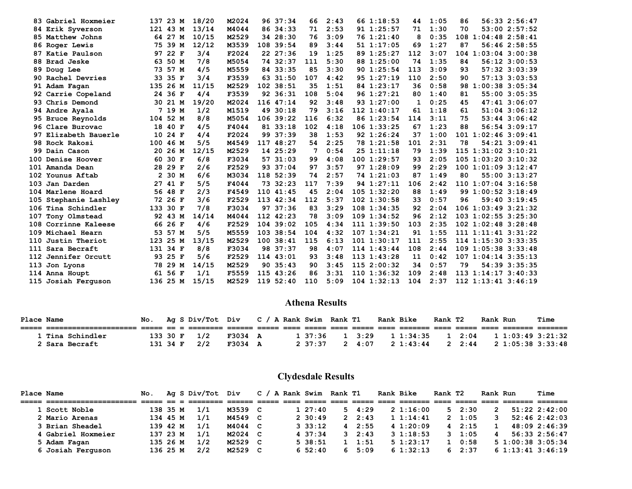| 83 Gabriel Hoxmeier   | 137            | 23 M    | 18/20 | M2024 |     | 96 37:34    | 66  | 2:43 | 66 1:18:53      | 44  | 1:05 | 86  |                           | 56:33 2:56:47     |
|-----------------------|----------------|---------|-------|-------|-----|-------------|-----|------|-----------------|-----|------|-----|---------------------------|-------------------|
| 84 Erik Syverson      | 121 43 M       |         | 13/14 | M4044 |     | 86 34:33    | 71  | 2:53 | 91 1:25:57      | 71  | 1:30 | 70  |                           | 53:002:57:52      |
| 85 Matthew Johns      |                | 64 27 M | 10/15 | M2529 |     | 34 28:30    | 76  | 3:09 | 76 1:21:40      | 8   | 0:35 | 108 | $1:04:48$ $2:58:41$       |                   |
| 86 Roger Lewis        | 75             | 39 M    | 12/12 | M3539 |     | 108 39:54   | 89  | 3:44 | 511:17:05       | 69  | 1:27 | 87  |                           | 56:46 2:58:55     |
| 87 Katie Paulson      | 97             | 22 F    | 3/4   | F2024 |     | 22 27:36    | 19  | 1:25 | 89 1:25:27      | 112 | 3:07 |     | $104$ 1:03:04 3:00:38     |                   |
| 88 Brad Jeske         | 63             | 50 M    | 7/8   | M5054 |     | 74 32:37    | 111 | 5:30 | 88 1:25:00      | 74  | 1:35 | 84  |                           | 56:12 3:00:53     |
| 89 Doug Lee           | 73             | 57 M    | 4/5   | M5559 |     | 84 33:35    | 85  | 3:30 | 90 1:25:54      | 113 | 3:09 | 93  |                           | 57:32 3:03:39     |
| 90 Rachel Devries     | 33             | 35 F    | 3/4   | F3539 |     | 63 31:50    | 107 | 4:42 | 95 1:27:19      | 110 | 2:50 | 90  |                           | 57:13 3:03:53     |
| 91 Adam Fagan         | 135            | 26 M    | 11/15 | M2529 |     | 102 38:51   | 35  | 1:51 | 84 1:23:17      | 36  | 0:58 | 98  | $1:00:38$ 3:05:34         |                   |
| 92 Carrie Copeland    |                | 24 36 F | 4/4   | F3539 |     | 92 36:31    | 108 | 5:04 | 96 1:27:21      | 80  | 1:40 | 81  |                           | 55:00 3:05:35     |
| 93 Chris Demond       |                | 30 21 M | 19/20 | M2024 |     | 116 47:14   | 92  | 3:48 | 93 1:27:00      | 1   | 0:25 | 45  |                           | 47:41 3:06:07     |
| 94 Andre Ayala        | 7              | 19 M    | 1/2   | M1519 | 49  | 30:18       | 79  | 3:16 | $112$ $1:40:17$ | 61  | 1:18 | 61  |                           | 51:04 3:06:12     |
| 95 Bruce Reynolds     | 104 52 M       |         | 8/8   | M5054 |     | 106.39:22   | 116 | 6:32 | 86 1:23:54      | 114 | 3:11 | 75  |                           | $53:44$ $3:06:42$ |
| 96 Clare Burovac      | 18             | 40 F    | 4/5   | F4044 |     | 81 33:18    | 102 | 4:18 | $106$ $1:33:25$ | 67  | 1:23 | 88  |                           | 56:54 3:09:17     |
| 97 Elizabeth Bauerle  | 10             | 24 F    | 4/4   | F2024 |     | 99 37:39    | 38  | 1:53 | 92 1:26:24      | 37  | 1:00 | 101 | $1:02:46$ 3:09:41         |                   |
| 98 Rock Rakosi        | 100            | 46 M    | 5/5   | M4549 | 117 | 48:27       | 54  | 2:25 | 78 1:21:58      | 101 | 2:31 | 78  |                           | 54:21 3:09:41     |
| 99 Dain Cason         | 20             | 26 M    | 12/15 | M2529 |     | 14 25:29    | 7   | 0:54 | 251:11:18       | 79  | 1:39 |     | 115 1:31:02 3:10:21       |                   |
| 100 Denise Hoover     | 60             | 30 F    | 6/8   | F3034 |     | 57 31:03    | 99  | 4:08 | 1001:29:57      | 93  | 2:05 |     | $105$ $1:03:20$ $3:10:32$ |                   |
| 101 Amanda Dean       |                | 28 29 F | 2/6   | F2529 |     | 93 37:04    | 97  | 3:57 | 97 1:28:09      | 99  | 2:29 |     | 1001:01:093:12:47         |                   |
| 102 Younus Aftab      | $\overline{2}$ | 30 M    | 6/6   | M3034 |     | 118 52:39   | 74  | 2:57 | 74 1:21:03      | 87  | 1:49 | 80  |                           | 55:00 3:13:27     |
| 103 Jan Darden        | 27             | 41 F    | 5/5   | F4044 | 73  | 32:23       | 117 | 7:39 | 94 1:27:11      | 106 | 2:42 |     | 110 1:07:04 3:16:58       |                   |
| 104 Marlene Hoard     |                | 56 48 F | 2/3   | F4549 |     | 110 41:45   | 45  | 2:04 | $105$ $1:32:20$ | 88  | 1:49 |     | 99 1:00:52 3:18:49        |                   |
| 105 Stephanie Lashley |                | 72 26 F | 3/6   | F2529 |     | 113 42:34   | 112 | 5:37 | $102$ $1:30:58$ | 33  | 0:57 | 96  |                           | 59:40 3:19:45     |
| 106 Tina Schindler    | 133            | 30 F    | 7/8   | F3034 |     | 97 37:36    | 83  | 3:29 | $108$ 1:34:35   | 92  | 2:04 |     | $106$ $1:03:49$ $3:21:32$ |                   |
| 107 Tony Olmstead     | 92             | 43 M    | 14/14 | M4044 |     | 112 42:23   | 78  | 3:09 | $109$ $1:34:52$ | 96  | 2:12 |     | $103$ $1:02:55$ $3:25:30$ |                   |
| 108 Corrinne Kaleese  |                | 66 26 F | 4/6   | F2529 |     | $104$ 39:02 | 105 | 4:34 | 11111:39:50     | 103 | 2:35 |     | $102 \t1:02:48 \t3:28:48$ |                   |
| 109 Michael Hearn     |                | 53 57 M | 5/5   | M5559 |     | 103 38:54   | 104 | 4:32 | 1071:34:21      | 91  | 1:55 |     | $111$ $1:11:41$ $3:31:22$ |                   |
| 110 Justin Theriot    | 123            | 25 M    | 13/15 | M2529 | 100 | 38:41       | 115 | 6:13 | 1011:30:17      | 111 | 2:55 |     | 114 1:15:30 3:33:35       |                   |
| 111 Sara Becraft      | 131            | 34 F    | 8/8   | F3034 |     | 98 37:37    | 98  | 4:07 | 114 1:43:44     | 108 | 2:44 |     | 109 1:05:38 3:33:48       |                   |
| 112 Jennifer Orcutt   |                | 93 25 F | 5/6   | F2529 |     | 114 43:01   | 93  | 3:48 | 113 1:43:28     | 11  | 0:42 |     | $107$ $1:04:14$ $3:35:13$ |                   |
| 113 Jon Lyons         | 78             | 29 M    | 14/15 | M2529 |     | 90, 35:43   | 90  | 3:45 | 115 2:00:32     | 34  | 0:57 | 79  |                           | 54:39 3:35:35     |
| 114 Anna Houpt        | 61             | 56 F    | 1/1   | F5559 |     | 115 43:26   | 86  | 3:31 | $110$ $1:36:32$ | 109 | 2:48 |     | $113$ $1:14:17$ $3:40:33$ |                   |
| 115 Josiah Ferguson   | 136 25 M       |         | 15/15 | M2529 |     | 119 52:40   | 110 | 5:09 | $104$ 1:32:13   | 104 | 2:37 |     | $112$ $1:13:41$ $3:46:19$ |                   |
|                       |                |         |       |       |     |             |     |      |                 |     |      |     |                           |                   |

#### **Athena Results**

| Place Name |                  |          |  | No. Ag S Div/Tot Div |         |  | C / A Rank Swim Rank T1 |     |                | <b>Rank Bike</b> | Rank T2 |                | Rank Run |                   | <b>Time</b> |
|------------|------------------|----------|--|----------------------|---------|--|-------------------------|-----|----------------|------------------|---------|----------------|----------|-------------------|-------------|
|            |                  |          |  |                      |         |  |                         |     |                |                  |         |                |          |                   |             |
|            | 1 Tina Schindler | 133 30 F |  | 1/2                  | F3034 A |  | 1 37:36                 |     | $1 \quad 3:29$ | 1 1:34:35        |         | $1 \quad 2:04$ |          | 11:03:493:21:32   |             |
|            | 2 Sara Becraft   | 131 34 F |  | 2/2                  | F3034 A |  | 2, 37:37                | - 2 | 4:07           | 2 1:43:44        |         | 2 2:44         |          | 2 1:05:38 3:33:48 |             |

## **Clydesdale Results**

| <b>Place Name</b> |                    | No.      |  | Ag S Div/Tot Div |         | $\mathbf{c}$ | A Rank Swim Rank T1 |    |                | Rank Bike     | Rank T2 |                | Rank Run |                       | Time              |
|-------------------|--------------------|----------|--|------------------|---------|--------------|---------------------|----|----------------|---------------|---------|----------------|----------|-----------------------|-------------------|
|                   |                    |          |  |                  |         |              |                     |    |                |               |         |                |          |                       |                   |
|                   | 1 Scott Noble      | 138 35 M |  | 1/1              | M3539 C |              | $1\;\;27:40$        | 5. | 4:29           | $2\;1:16:00$  |         | $5 \quad 2:30$ | 2        |                       | $51:22$ $2:42:00$ |
|                   | 2 Mario Arenas     | 134 45 M |  | 1/1              | M4549 C |              | 2 30:49             |    | 2, 2:43        | 11:14:41      |         | 2, 1:05        |          |                       | 52:462:32:03      |
|                   | 3 Brian Sheadel    | 139 42 M |  | 1/1              | M4044 C |              | $3 \cdot 33:12$     | 4  | 2:55           | 41:20:09      |         | 42:15          |          |                       | 48:09 2:46:39     |
|                   | 4 Gabriel Hoxmeier | 137 23 M |  | 1/1              | M2024 C |              | 4 37:34             |    | $3 \quad 2:43$ | $3 \t1:18:53$ |         | $3 \quad 1:05$ | 4        |                       | 56:33 2:56:47     |
|                   | 5 Adam Fagan       | 135 26 M |  | 1/2              | M2529 C |              | 5 38:51             |    | 1:51           | $5 \t1:23:17$ |         | $1 \t 0:58$    |          | $5\ 1:00:38\ 3:05:34$ |                   |
|                   | 6 Josiah Ferquson  | 136 25 M |  | 2/2              | M2529 C |              | $6\,52:40$          | 6. | 5:09           | 61:32:13      |         | 62:37          |          | 61:13:413:46:19       |                   |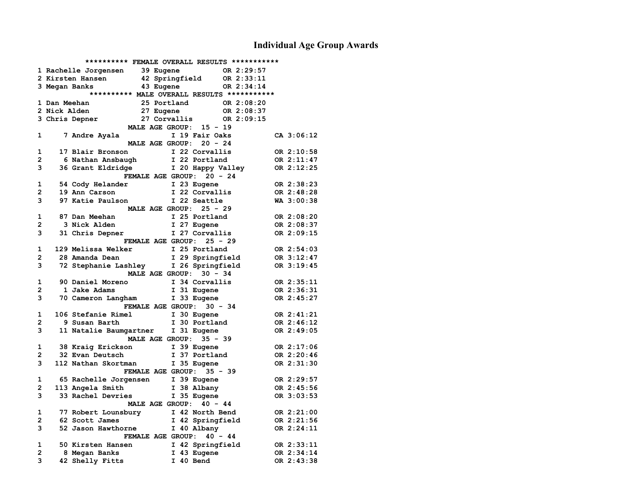## **Individual Age Group Awards**

|   |              | ********** FEMALE OVERALL RESULTS ***********    |                                   |                               |            |            |
|---|--------------|--------------------------------------------------|-----------------------------------|-------------------------------|------------|------------|
|   |              | 1 Rachelle Jorgensen 39 Eugene                   |                                   |                               | OR 2:29:57 |            |
|   |              | 2 Kirsten Hansen                                 | 42 Springfield OR 2:33:11         |                               |            |            |
|   |              | 3 Megan Banks                                    | 43 Eugene                         |                               | OR 2:34:14 |            |
|   |              | ********** MALE OVERALL RESULTS ***********      |                                   |                               |            |            |
|   | 1 Dan Meehan |                                                  | 25 Portland                       |                               | OR 2:08:20 |            |
|   | 2 Nick Alden |                                                  | 27 Eugene                         |                               | OR 2:08:37 |            |
|   |              | 3 Chris Depner                                   | 27 Corvallis OR 2:09:15           |                               |            |            |
|   |              |                                                  | MALE AGE GROUP: 15 - 19           |                               |            |            |
| 1 |              | 7 Andre Ayala                                    |                                   | I 19 Fair Oaks                |            | CA 3:06:12 |
|   |              |                                                  | MALE AGE GROUP: 20 - 24           |                               |            |            |
| 1 |              | 17 Blair Bronson                                 |                                   | I 22 Corvallis                |            | OR 2:10:58 |
| 2 |              | 6 Nathan Ansbaugh                                |                                   | I 22 Portland                 |            | OR 2:11:47 |
| 3 |              | 36 Grant Eldridge 1 20 Happy Valley 0R 2:12:25   |                                   |                               |            |            |
|   |              |                                                  | <b>FEMALE AGE GROUP:</b>          | $20 - 24$                     |            |            |
| 1 |              | 54 Cody Helander                                 |                                   |                               |            | OR 2:38:23 |
| 2 |              | 19 Ann Carson                                    |                                   | I 23 Eugene<br>I 22 Corvallis |            | OR 2:48:28 |
| 3 |              | 97 Katie Paulson                                 |                                   | I 22 Seattle                  |            | WA 3:00:38 |
|   |              |                                                  | MALE AGE GROUP: 25 - 29           |                               |            |            |
| 1 |              | 87 Dan Meehan                                    |                                   | I 25 Portland                 |            | OR 2:08:20 |
| 2 |              | 3 Nick Alden                                     |                                   | I 27 Eugene                   |            | OR 2:08:37 |
| 3 |              | 31 Chris Depner                                  |                                   | I 27 Corvallis                |            | OR 2:09:15 |
|   |              |                                                  | FEMALE AGE GROUP: 25 - 29         |                               |            |            |
| 1 |              | 129 Melissa Welker                               |                                   |                               |            | OR 2:54:03 |
| 2 |              | 28 Amanda Dean                                   | I 25 Portland<br>I 29 Springfield |                               |            |            |
|   |              |                                                  |                                   |                               |            | OR 3:12:47 |
| 3 |              | 72 Stephanie Lashley 1 26 Springfield 0R 3:19:45 |                                   |                               |            |            |
|   |              |                                                  | MALE AGE GROUP: 30 - 34           |                               |            |            |
| 1 |              | 90 Daniel Moreno                                 |                                   | I 34 Corvallis                |            | OR 2:35:11 |
| 2 |              | 1 Jake Adams                                     | I 31 Eugene                       |                               |            | OR 2:36:31 |
| 3 |              | 70 Cameron Langham I 33 Eugene                   |                                   |                               |            | OR 2:45:27 |
|   |              |                                                  | <b>FEMALE AGE GROUP:</b>          | $30 - 34$                     |            |            |
| 1 |              | 106 Stefanie Rimel                               | I 30 Eugene<br>I 30 Portland      |                               |            | OR 2:41:21 |
| 2 |              | 9 Susan Barth                                    |                                   |                               |            | OR 2:46:12 |
| 3 |              | 11 Natalie Baumgartner I 31 Eugene               |                                   |                               |            | OR 2:49:05 |
|   |              |                                                  | MALE AGE GROUP: 35 - 39           |                               |            |            |
| 1 |              | 38 Kraig Erickson                                | I 39 Eugene                       |                               |            | OR 2:17:06 |
| 2 |              | 32 Evan Deutsch                                  |                                   | I 37 Portland                 |            | OR 2:20:46 |
| 3 |              | 112 Nathan Skortman                              |                                   | I 35 Eugene                   |            | OR 2:31:30 |
|   |              |                                                  | <b>FEMALE AGE GROUP:</b>          | $35 - 39$                     |            |            |
| 1 |              | 65 Rachelle Jorgensen 1 39 Eugene                |                                   |                               |            | OR 2:29:57 |
| 2 |              | 113 Angela Smith                                 | I 38 Albany                       |                               |            | OR 2:45:56 |
| 3 |              | 33 Rachel Devries                                | I 35 Eugene                       |                               |            | OR 3:03:53 |
|   |              |                                                  | MALE AGE GROUP: 40 - 44           |                               |            |            |
| 1 |              | 77 Robert Lounsbury 1 42 North Bend              |                                   |                               |            | OR 2:21:00 |
| 2 |              | 62 Scott James                                   |                                   | I 42 Springfield              |            | OR 2:21:56 |
| 3 |              | 52 Jason Hawthorne                               |                                   | I 40 Albany                   |            | OR 2:24:11 |
|   |              |                                                  | FEMALE AGE GROUP: 40 - 44         |                               |            |            |
| 1 |              | 50 Kirsten Hansen                                |                                   | I 42 Springfield              |            | OR 2:33:11 |
| 2 |              | 8 Megan Banks                                    |                                   | I 43 Eugene                   |            | OR 2:34:14 |
| 3 |              | 42 Shelly Fitts                                  | I 40 Bend                         |                               |            | OR 2:43:38 |